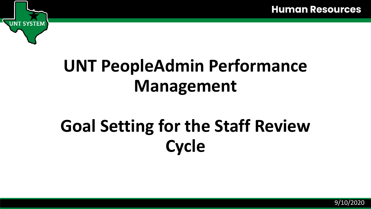

## **UNT PeopleAdmin Performance Management**

# **Goal Setting for the Staff Review Cycle**

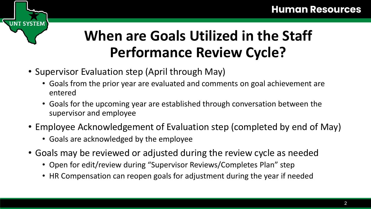#### **When are Goals Utilized in the Staff Performance Review Cycle?**

• Supervisor Evaluation step (April through May)

**NT SYSTEM** 

- Goals from the prior year are evaluated and comments on goal achievement are entered
- Goals for the upcoming year are established through conversation between the supervisor and employee
- Employee Acknowledgement of Evaluation step (completed by end of May)
	- Goals are acknowledged by the employee
- Goals may be reviewed or adjusted during the review cycle as needed
	- Open for edit/review during "Supervisor Reviews/Completes Plan" step
	- HR Compensation can reopen goals for adjustment during the year if needed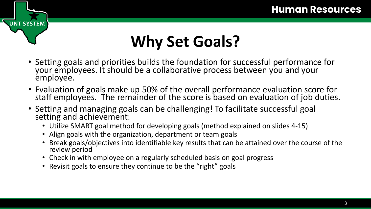## **Why Set Goals?**

- Setting goals and priorities builds the foundation for successful performance for your employees. It should be a collaborative process between you and your employee.
- Evaluation of goals make up 50% of the overall performance evaluation score for staff employees. The remainder of the score is based on evaluation of job duties.
- Setting and managing goals can be challenging! To facilitate successful goal setting and achievement:
	- Utilize SMART goal method for developing goals (method explained on slides 4-15)
	- Align goals with the organization, department or team goals

UNT SYSTEM

- Break goals/objectives into identifiable key results that can be attained over the course of the review period
- Check in with employee on a regularly scheduled basis on goal progress
- Revisit goals to ensure they continue to be the "right" goals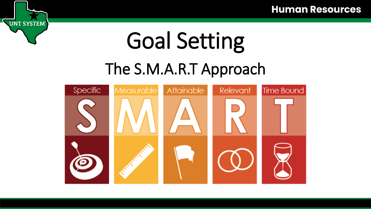# Goal Setting

UNT SYSTEM

#### The S.M.A.R.T Approach

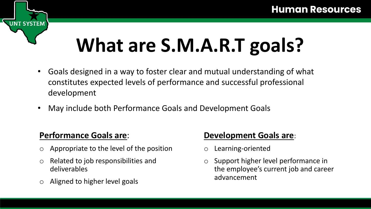# **What are S.M.A.R.T goals?**

- Goals designed in a way to foster clear and mutual understanding of what constitutes expected levels of performance and successful professional development
- May include both Performance Goals and Development Goals

#### **Performance Goals are**:

**T SYSTEM** 

- Appropriate to the level of the position
- o Related to job responsibilities and deliverables
- Aligned to higher level goals

#### **Development Goals are**:

- o Learning-oriented
- o Support higher level performance in the employee's current job and career advancement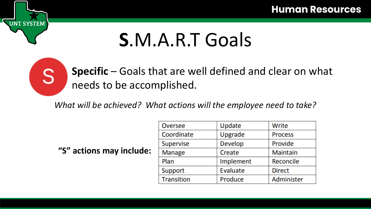

**T SYSTEM** 

**Specific** – Goals that are well defined and clear on what needs to be accomplished.

*What will be achieved? What actions will the employee need to take?* 

**"S" actions may include:**

| <b>Oversee</b>    | Update         | Write           |
|-------------------|----------------|-----------------|
| Coordinate        | Upgrade        | <b>Process</b>  |
| Supervise         | <b>Develop</b> | Provide         |
| <b>Manage</b>     | Create         | <b>Maintain</b> |
| Plan              | Implement      | Reconcile       |
| Support           | Evaluate       | <b>Direct</b>   |
| <b>Transition</b> | Produce        | Administer      |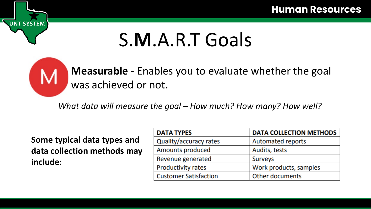

**T SYSTEM** 

**Measurable** - Enables you to evaluate whether the goal was achieved or not.

*What data will measure the goal – How much? How many? How well?*

**Some typical data types and data collection methods may include:**

| <b>DATA TYPES</b>            | <b>DATA COLLECTION METHODS</b> |  |
|------------------------------|--------------------------------|--|
| Quality/accuracy rates       | <b>Automated reports</b>       |  |
| Amounts produced             | Audits, tests                  |  |
| Revenue generated            | <b>Surveys</b>                 |  |
| <b>Productivity rates</b>    | Work products, samples         |  |
| <b>Customer Satisfaction</b> | <b>Other documents</b>         |  |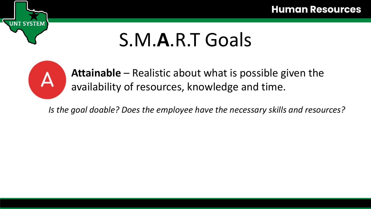

**SYSTEM** 

**Attainable** – Realistic about what is possible given the availability of resources, knowledge and time.

*Is the goal doable? Does the employee have the necessary skills and resources?*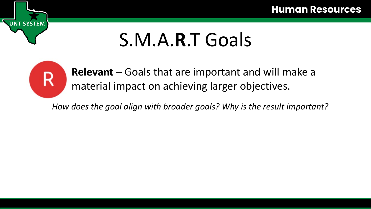

**T SYSTEM** 

**Relevant** – Goals that are important and will make a material impact on achieving larger objectives.

*How does the goal align with broader goals? Why is the result important?*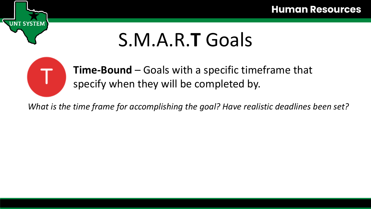

**SYSTEM** 

**Time-Bound** – Goals with a specific timeframe that specify when they will be completed by.

*What is the time frame for accomplishing the goal? Have realistic deadlines been set?*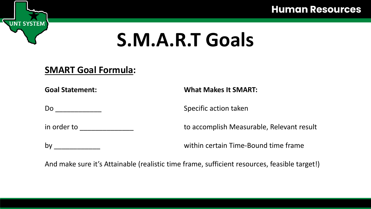**Human Resources** 

# **S.M.A.R.T Goals**

#### **SMART Goal Formula:**

**T SYSTEM** 

Do \_\_\_\_\_\_\_\_\_\_\_\_ Specific action taken

**Goal Statement: What Makes It SMART:**

in order to **in the summan of the set of the set of the set of the set of the set of the set of the set of the s** 

by \_\_\_\_\_\_\_\_\_\_\_\_ within certain Time-Bound time frame

And make sure it's Attainable (realistic time frame, sufficient resources, feasible target!)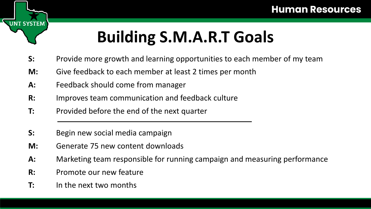## **Building S.M.A.R.T Goals**

- **S:** Provide more growth and learning opportunities to each member of my team
- **M:** Give feedback to each member at least 2 times per month
- **A:** Feedback should come from manager
- **R:** Improves team communication and feedback culture
- **T:** Provided before the end of the next quarter
- **S:** Begin new social media campaign
- **M:** Generate 75 new content downloads
- **A:** Marketing team responsible for running campaign and measuring performance
- **R:** Promote our new feature
- **T:** In the next two months

**JNT SYSTEM**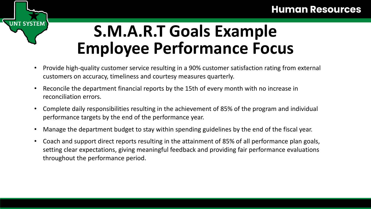#### **Human Resources**



## **S.M.A.R.T Goals Example Employee Performance Focus**

- Provide high-quality customer service resulting in a 90% customer satisfaction rating from external customers on accuracy, timeliness and courtesy measures quarterly.
- Reconcile the department financial reports by the 15th of every month with no increase in reconciliation errors.
- Complete daily responsibilities resulting in the achievement of 85% of the program and individual performance targets by the end of the performance year.
- Manage the department budget to stay within spending guidelines by the end of the fiscal year.
- Coach and support direct reports resulting in the attainment of 85% of all performance plan goals, setting clear expectations, giving meaningful feedback and providing fair performance evaluations throughout the performance period.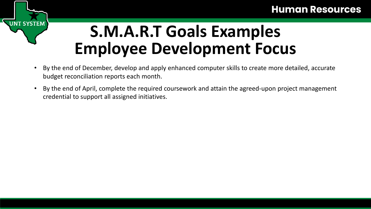# **JT SYSTEM**

## **S.M.A.R.T Goals Examples Employee Development Focus**

- By the end of December, develop and apply enhanced computer skills to create more detailed, accurate budget reconciliation reports each month.
- By the end of April, complete the required coursework and attain the agreed-upon project management credential to support all assigned initiatives.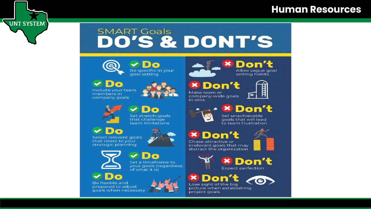#### **Human Resources**

#### **SMART Goals** DO'S & DONT'S



**UNT SYSTEM** 

**D**<sup>o</sup> Be specific in your goal setting

 $\bullet$ Include your team members in company goals



 $\boldsymbol{\times}$ Don't Allow vague goal setting habits

| <b>IDIG</b> | $\bullet$ |  |
|-------------|-----------|--|
|             |           |  |

Make team or company-wide goals in silos



Set stretch-goals that challenge team limitations

D<sub>o</sub> Select relevant goals that relate to your strategic planning



Set a timeframe to your goals (regardless

of what it is)



Be flexible and prepared to adjust goals when necessary



**× Don't** Set unachievable goals that will lead to team frustration

**× Don't** Chase attractive or



irrelevant goals that may distract the organization



**CO** Lose sight of the big picture when establishing project goals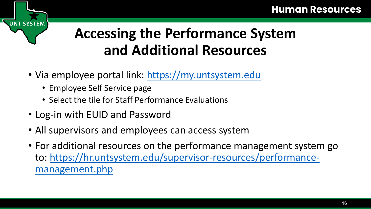#### **Accessing the Performance System and Additional Resources**

- Via employee portal link: [https://my.untsystem.edu](https://my.untsystem.edu/)
	- Employee Self Service page

**INT SYSTEM** 

- Select the tile for Staff Performance Evaluations
- Log-in with EUID and Password
- All supervisors and employees can access system
- For additional resources on the performance management system go [to: https://hr.untsystem.edu/supervisor-resources/performance](https://hr.untsystem.edu/supervisor-resources/performance-management.php)management.php